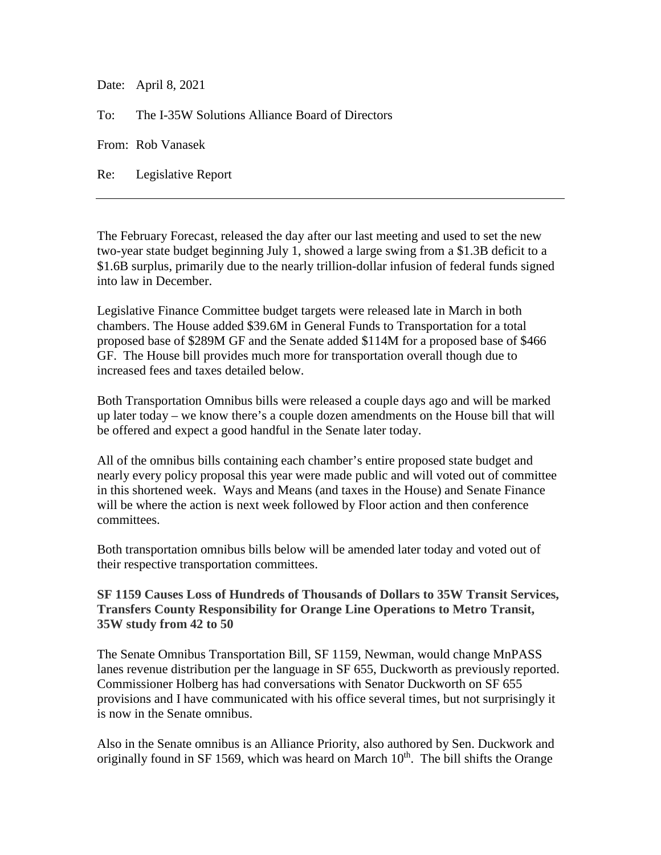Date: April 8, 2021

To: The I-35W Solutions Alliance Board of Directors

From: Rob Vanasek

Re: Legislative Report

The February Forecast, released the day after our last meeting and used to set the new two-year state budget beginning July 1, showed a large swing from a \$1.3B deficit to a \$1.6B surplus, primarily due to the nearly trillion-dollar infusion of federal funds signed into law in December.

Legislative Finance Committee budget targets were released late in March in both chambers. The House added \$39.6M in General Funds to Transportation for a total proposed base of \$289M GF and the Senate added \$114M for a proposed base of \$466 GF. The House bill provides much more for transportation overall though due to increased fees and taxes detailed below.

Both Transportation Omnibus bills were released a couple days ago and will be marked up later today – we know there's a couple dozen amendments on the House bill that will be offered and expect a good handful in the Senate later today.

All of the omnibus bills containing each chamber's entire proposed state budget and nearly every policy proposal this year were made public and will voted out of committee in this shortened week. Ways and Means (and taxes in the House) and Senate Finance will be where the action is next week followed by Floor action and then conference committees.

Both transportation omnibus bills below will be amended later today and voted out of their respective transportation committees.

## **SF 1159 Causes Loss of Hundreds of Thousands of Dollars to 35W Transit Services, Transfers County Responsibility for Orange Line Operations to Metro Transit, 35W study from 42 to 50**

The Senate Omnibus Transportation Bill, SF 1159, Newman, would change MnPASS lanes revenue distribution per the language in SF 655, Duckworth as previously reported. Commissioner Holberg has had conversations with Senator Duckworth on SF 655 provisions and I have communicated with his office several times, but not surprisingly it is now in the Senate omnibus.

Also in the Senate omnibus is an Alliance Priority, also authored by Sen. Duckwork and originally found in SF 1569, which was heard on March  $10<sup>th</sup>$ . The bill shifts the Orange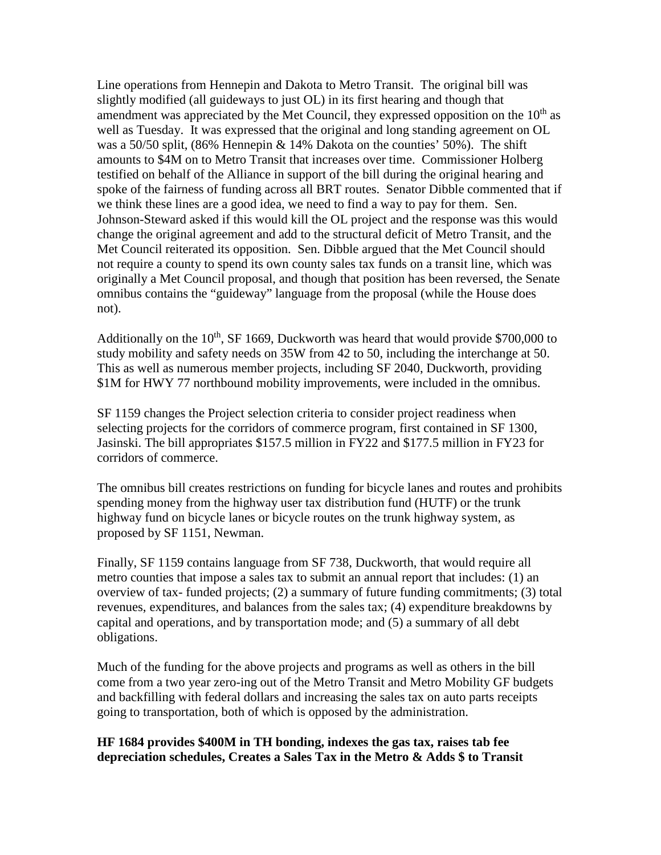Line operations from Hennepin and Dakota to Metro Transit. The original bill was slightly modified (all guideways to just OL) in its first hearing and though that amendment was appreciated by the Met Council, they expressed opposition on the  $10<sup>th</sup>$  as well as Tuesday. It was expressed that the original and long standing agreement on OL was a 50/50 split, (86% Hennepin & 14% Dakota on the counties' 50%). The shift amounts to \$4M on to Metro Transit that increases over time. Commissioner Holberg testified on behalf of the Alliance in support of the bill during the original hearing and spoke of the fairness of funding across all BRT routes. Senator Dibble commented that if we think these lines are a good idea, we need to find a way to pay for them. Sen. Johnson-Steward asked if this would kill the OL project and the response was this would change the original agreement and add to the structural deficit of Metro Transit, and the Met Council reiterated its opposition. Sen. Dibble argued that the Met Council should not require a county to spend its own county sales tax funds on a transit line, which was originally a Met Council proposal, and though that position has been reversed, the Senate omnibus contains the "guideway" language from the proposal (while the House does not).

Additionally on the  $10^{th}$ , SF 1669, Duckworth was heard that would provide \$700,000 to study mobility and safety needs on 35W from 42 to 50, including the interchange at 50. This as well as numerous member projects, including SF 2040, Duckworth, providing \$1M for HWY 77 northbound mobility improvements, were included in the omnibus.

SF 1159 changes the Project selection criteria to consider project readiness when selecting projects for the corridors of commerce program, first contained in SF 1300, Jasinski. The bill appropriates \$157.5 million in FY22 and \$177.5 million in FY23 for corridors of commerce.

The omnibus bill creates restrictions on funding for bicycle lanes and routes and prohibits spending money from the highway user tax distribution fund (HUTF) or the trunk highway fund on bicycle lanes or bicycle routes on the trunk highway system, as proposed by SF 1151, Newman.

Finally, SF 1159 contains language from SF 738, Duckworth, that would require all metro counties that impose a sales tax to submit an annual report that includes: (1) an overview of tax- funded projects; (2) a summary of future funding commitments; (3) total revenues, expenditures, and balances from the sales tax; (4) expenditure breakdowns by capital and operations, and by transportation mode; and (5) a summary of all debt obligations.

Much of the funding for the above projects and programs as well as others in the bill come from a two year zero-ing out of the Metro Transit and Metro Mobility GF budgets and backfilling with federal dollars and increasing the sales tax on auto parts receipts going to transportation, both of which is opposed by the administration.

## **HF 1684 provides \$400M in TH bonding, indexes the gas tax, raises tab fee depreciation schedules, Creates a Sales Tax in the Metro & Adds \$ to Transit**